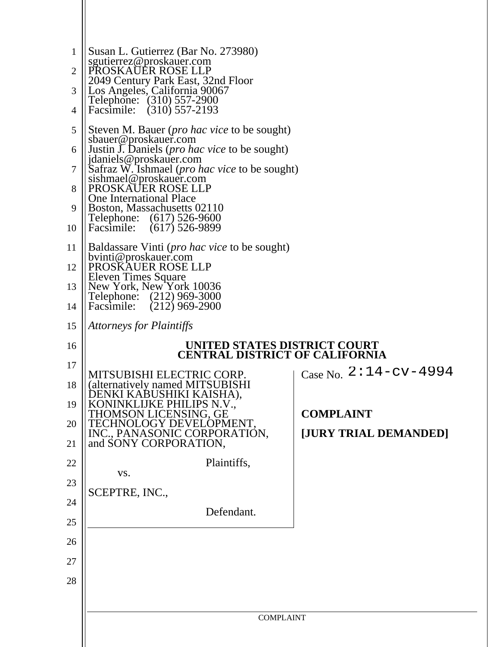| 1<br>2<br>3<br>4                                    | Susan L. Gutierrez (Bar No. 273980)<br>sgutierrez@proskauer.com<br>PROSKAUER ROSE LLP<br>2049 Century Park East, 32nd Floor<br>Los Angeles, California 90067<br>Telephone: (310) 557-2900<br>$(310)$ 557-2193<br>Facsimile:                                                                                                                                                                                                                                                                                                                                                                                                         |                                                                    |
|-----------------------------------------------------|-------------------------------------------------------------------------------------------------------------------------------------------------------------------------------------------------------------------------------------------------------------------------------------------------------------------------------------------------------------------------------------------------------------------------------------------------------------------------------------------------------------------------------------------------------------------------------------------------------------------------------------|--------------------------------------------------------------------|
| 5<br>6<br>7<br>8<br>9<br>10<br>11<br>12<br>13<br>14 | Steven M. Bauer ( <i>pro hac vice</i> to be sought)<br>sbauer@proskauer.com<br>Justin J. Daniels ( <i>pro hac vice</i> to be sought)<br>jdaniels@proskauer.com<br>Safraz W. Ishmael (pro hac vice to be sought)<br>sishmael@proskauer.com<br>PROSKAUER ROSE LLP<br><b>One International Place</b><br>Boston, Massachusetts 02110<br>$(617)$ 526-9600<br>Telephone:<br>$(617)$ 526-9899<br>Facsimile:<br>Baldassare Vinti ( <i>pro hac vice</i> to be sought)<br>bvinti@proskauer.com<br>PROSKAUER ROSE LLP<br><b>Eleven Times Square</b><br>New York, New York 10036<br>Telephone: (212) 969-3000<br>$(212)$ 969-2900<br>Facsimile: |                                                                    |
| 15                                                  | <b>Attorneys for Plaintiffs</b>                                                                                                                                                                                                                                                                                                                                                                                                                                                                                                                                                                                                     |                                                                    |
|                                                     |                                                                                                                                                                                                                                                                                                                                                                                                                                                                                                                                                                                                                                     |                                                                    |
| 16                                                  | <b>CENTRAL DISTRICT OF CALIFORNIA</b>                                                                                                                                                                                                                                                                                                                                                                                                                                                                                                                                                                                               | UNITED STATES DISTRICT COURT                                       |
| 17<br>18<br>19<br>20<br>21                          | MITSUBISHI ELECTRIC CORP.<br>(alternatively named MITSUBISHI)<br>DENKI KABUSHIKI KAISHA).<br>KONINKLIJKE PHILIPS N.V.,<br>THOMSON LICENSING, GE                                                                                                                                                                                                                                                                                                                                                                                                                                                                                     | Case No. 2:14-cv-4994<br><b>COMPLAINT</b><br>[JURY TRIAL DEMANDED] |
| 22                                                  | TECHNOLOGY DEVELOPMENT,<br>INC., PANASONIC CORPORATION,<br>and SONY CORPORATION,<br>Plaintiffs,                                                                                                                                                                                                                                                                                                                                                                                                                                                                                                                                     |                                                                    |
| 23                                                  | VS.                                                                                                                                                                                                                                                                                                                                                                                                                                                                                                                                                                                                                                 |                                                                    |
| 24                                                  | SCEPTRE, INC.,                                                                                                                                                                                                                                                                                                                                                                                                                                                                                                                                                                                                                      |                                                                    |
| 25                                                  | Defendant.                                                                                                                                                                                                                                                                                                                                                                                                                                                                                                                                                                                                                          |                                                                    |
| 26                                                  |                                                                                                                                                                                                                                                                                                                                                                                                                                                                                                                                                                                                                                     |                                                                    |
| 27                                                  |                                                                                                                                                                                                                                                                                                                                                                                                                                                                                                                                                                                                                                     |                                                                    |
| 28                                                  |                                                                                                                                                                                                                                                                                                                                                                                                                                                                                                                                                                                                                                     |                                                                    |
|                                                     | <b>COMPLAINT</b>                                                                                                                                                                                                                                                                                                                                                                                                                                                                                                                                                                                                                    |                                                                    |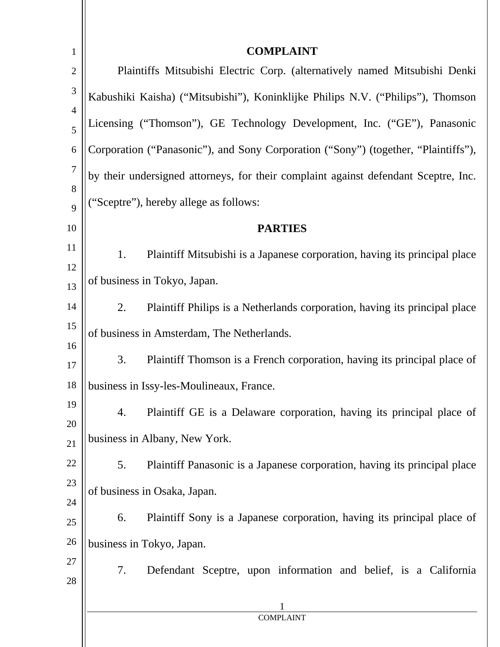| $\mathbf{1}$   | <b>COMPLAINT</b>                                                                    |  |
|----------------|-------------------------------------------------------------------------------------|--|
| $\overline{2}$ | Plaintiffs Mitsubishi Electric Corp. (alternatively named Mitsubishi Denki          |  |
| $\mathfrak{Z}$ | Kabushiki Kaisha) ("Mitsubishi"), Koninklijke Philips N.V. ("Philips"), Thomson     |  |
| $\overline{4}$ | Licensing ("Thomson"), GE Technology Development, Inc. ("GE"), Panasonic            |  |
| 5              |                                                                                     |  |
| 6              | Corporation ("Panasonic"), and Sony Corporation ("Sony") (together, "Plaintiffs"),  |  |
| 7              | by their undersigned attorneys, for their complaint against defendant Sceptre, Inc. |  |
| 8<br>9         | ("Sceptre"), hereby allege as follows:                                              |  |
|                |                                                                                     |  |
| 10             | <b>PARTIES</b>                                                                      |  |
| 11             | 1.<br>Plaintiff Mitsubishi is a Japanese corporation, having its principal place    |  |
| 12<br>13       | of business in Tokyo, Japan.                                                        |  |
| 14             | Plaintiff Philips is a Netherlands corporation, having its principal place<br>2.    |  |
| 15             | of business in Amsterdam, The Netherlands.                                          |  |
| 16             |                                                                                     |  |
| 17             | 3.<br>Plaintiff Thomson is a French corporation, having its principal place of      |  |
| 18             | business in Issy-les-Moulineaux, France.                                            |  |
| 19             | Plaintiff GE is a Delaware corporation, having its principal place of<br>4.         |  |
| 20             | business in Albany, New York.                                                       |  |
| 21             |                                                                                     |  |
| 22             | Plaintiff Panasonic is a Japanese corporation, having its principal place<br>5.     |  |
| 23             | of business in Osaka, Japan.                                                        |  |
| 24             |                                                                                     |  |
| 25             | Plaintiff Sony is a Japanese corporation, having its principal place of<br>6.       |  |
| 26             | business in Tokyo, Japan.                                                           |  |
| 27             | 7.<br>Defendant Sceptre, upon information and belief, is a California               |  |
| 28             |                                                                                     |  |
|                |                                                                                     |  |
|                | <b>COMPLAINT</b>                                                                    |  |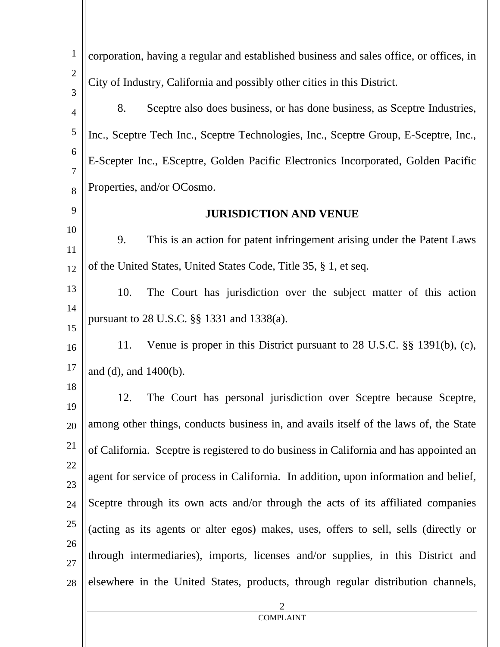| $\mathbf{1}$        | corporation, having a regular and established business and sales office, or offices, in |
|---------------------|-----------------------------------------------------------------------------------------|
| $\overline{2}$      | City of Industry, California and possibly other cities in this District.                |
| 3                   | 8.<br>Sceptre also does business, or has done business, as Sceptre Industries,          |
| $\overline{4}$      |                                                                                         |
| 5                   | Inc., Sceptre Tech Inc., Sceptre Technologies, Inc., Sceptre Group, E-Sceptre, Inc.,    |
| 6<br>$\overline{7}$ | E-Scepter Inc., ESceptre, Golden Pacific Electronics Incorporated, Golden Pacific       |
| 8                   | Properties, and/or OCosmo.                                                              |
| 9                   | <b>JURISDICTION AND VENUE</b>                                                           |
| 10                  | 9.<br>This is an action for patent infringement arising under the Patent Laws           |
| 11<br>12            | of the United States, United States Code, Title 35, § 1, et seq.                        |
| 13                  |                                                                                         |
| 14                  | The Court has jurisdiction over the subject matter of this action<br>10.                |
| 15                  | pursuant to 28 U.S.C. §§ 1331 and 1338(a).                                              |
| 16                  | Venue is proper in this District pursuant to 28 U.S.C. §§ 1391(b), (c),<br>11.          |
| 17                  | and (d), and $1400(b)$ .                                                                |
| 18<br>19            | The Court has personal jurisdiction over Sceptre because Sceptre,<br>12.                |
| 20                  | among other things, conducts business in, and avails itself of the laws of, the State   |
| 21                  | of California. Sceptre is registered to do business in California and has appointed an  |
| 22<br>23            | agent for service of process in California. In addition, upon information and belief,   |
| 24                  | Sceptre through its own acts and/or through the acts of its affiliated companies        |
| 25                  | (acting as its agents or alter egos) makes, uses, offers to sell, sells (directly or    |
| 26<br>27            | through intermediaries), imports, licenses and/or supplies, in this District and        |
| 28                  | elsewhere in the United States, products, through regular distribution channels,        |
|                     | $\overline{2}$<br><b>COMPLAINT</b>                                                      |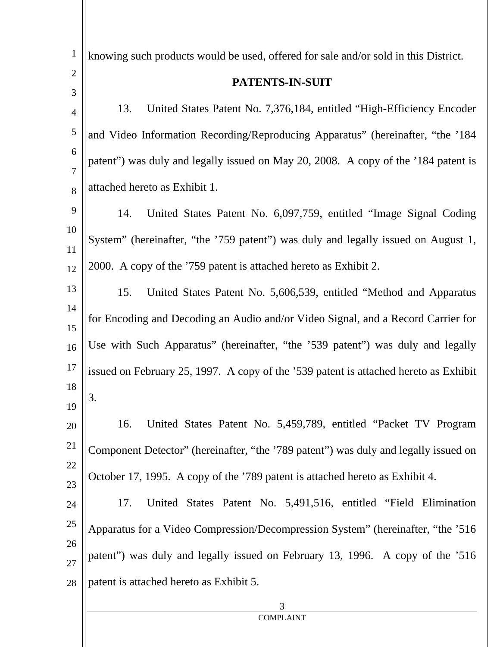| $\mathbf{1}$        | knowing such products would be used, offered for sale and/or sold in this District.  |
|---------------------|--------------------------------------------------------------------------------------|
| $\overline{2}$      | PATENTS-IN-SUIT                                                                      |
| 3<br>$\overline{4}$ | United States Patent No. 7,376,184, entitled "High-Efficiency Encoder"<br>13.        |
| 5                   | and Video Information Recording/Reproducing Apparatus" (hereinafter, "the '184       |
| 6                   |                                                                                      |
| $\overline{7}$      | patent") was duly and legally issued on May 20, 2008. A copy of the '184 patent is   |
| 8                   | attached hereto as Exhibit 1.                                                        |
| 9                   | 14.<br>United States Patent No. 6,097,759, entitled "Image Signal Coding"            |
| 10<br>11            | System" (hereinafter, "the '759 patent") was duly and legally issued on August 1,    |
| 12                  | 2000. A copy of the '759 patent is attached hereto as Exhibit 2.                     |
| 13                  | 15.<br>United States Patent No. 5,606,539, entitled "Method and Apparatus"           |
| 14                  | for Encoding and Decoding an Audio and/or Video Signal, and a Record Carrier for     |
| 15<br>16            | Use with Such Apparatus" (hereinafter, "the '539 patent") was duly and legally       |
| 17                  | issued on February 25, 1997. A copy of the '539 patent is attached hereto as Exhibit |
| 18                  |                                                                                      |
| 19                  | 3.                                                                                   |
| $20\,$              | 16.<br>United States Patent No. 5,459,789, entitled "Packet TV Program"              |
| 21                  | Component Detector" (hereinafter, "the '789 patent") was duly and legally issued on  |
| 22                  | October 17, 1995. A copy of the '789 patent is attached hereto as Exhibit 4.         |
| 23<br>24            | United States Patent No. 5,491,516, entitled "Field Elimination"<br>17.              |
| 25                  | Apparatus for a Video Compression/Decompression System" (hereinafter, "the '516      |
| 26                  |                                                                                      |
| 27                  | patent") was duly and legally issued on February 13, 1996. A copy of the '516        |
| 28                  | patent is attached hereto as Exhibit 5.                                              |
|                     | 3                                                                                    |
|                     | <b>COMPLAINT</b>                                                                     |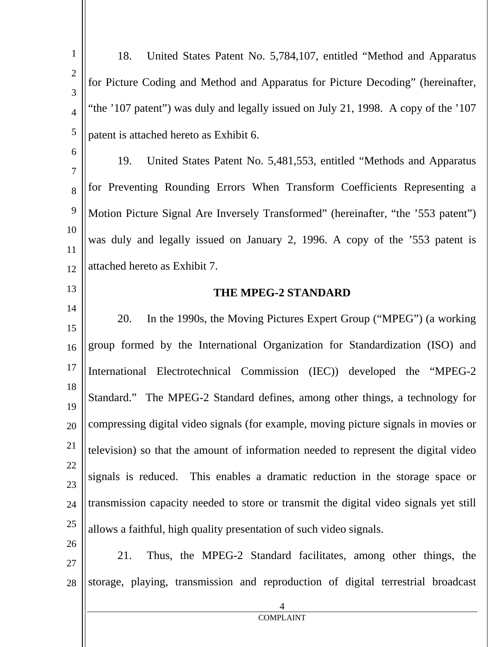| $\mathbf{1}$        | 18.<br>United States Patent No. 5,784,107, entitled "Method and Apparatus"            |
|---------------------|---------------------------------------------------------------------------------------|
| $\mathbf{2}$<br>3   | for Picture Coding and Method and Apparatus for Picture Decoding" (hereinafter,       |
| $\overline{4}$      | "the '107 patent") was duly and legally issued on July 21, 1998. A copy of the '107   |
| 5                   | patent is attached hereto as Exhibit 6.                                               |
| 6                   | 19.<br>United States Patent No. 5,481,553, entitled "Methods and Apparatus"           |
| $\overline{7}$<br>8 | for Preventing Rounding Errors When Transform Coefficients Representing a             |
| 9                   | Motion Picture Signal Are Inversely Transformed" (hereinafter, "the '553 patent")     |
| 10                  | was duly and legally issued on January 2, 1996. A copy of the '553 patent is          |
| 11<br>12            | attached hereto as Exhibit 7.                                                         |
| 13                  | THE MPEG-2 STANDARD                                                                   |
| 14<br>15            | In the 1990s, the Moving Pictures Expert Group ("MPEG") (a working<br>20.             |
| 16                  | group formed by the International Organization for Standardization (ISO) and          |
| 17                  | International Electrotechnical Commission (IEC)) developed the "MPEG-2                |
| 18<br>19            | Standard." The MPEG-2 Standard defines, among other things, a technology for          |
| 20                  | compressing digital video signals (for example, moving picture signals in movies or   |
| 21                  | television) so that the amount of information needed to represent the digital video   |
| 22<br>23            | signals is reduced. This enables a dramatic reduction in the storage space or         |
| 24                  | transmission capacity needed to store or transmit the digital video signals yet still |
| 25                  | allows a faithful, high quality presentation of such video signals.                   |
| 26<br>27            | Thus, the MPEG-2 Standard facilitates, among other things, the<br>21.                 |
| 28                  | storage, playing, transmission and reproduction of digital terrestrial broadcast      |
|                     | 4<br><b>COMPLAINT</b>                                                                 |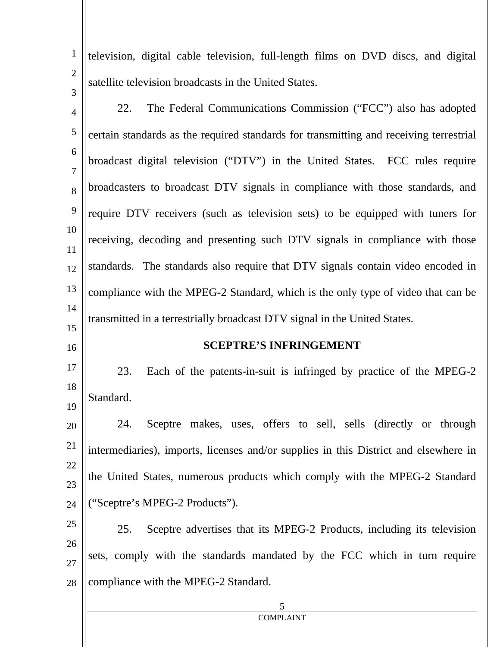1 2 3 television, digital cable television, full-length films on DVD discs, and digital satellite television broadcasts in the United States.

22. The Federal Communications Commission ("FCC") also has adopted

4

16

5 6 7 8 9 10 11 12 13 14 15 certain standards as the required standards for transmitting and receiving terrestrial broadcast digital television ("DTV") in the United States. FCC rules require broadcasters to broadcast DTV signals in compliance with those standards, and require DTV receivers (such as television sets) to be equipped with tuners for receiving, decoding and presenting such DTV signals in compliance with those standards. The standards also require that DTV signals contain video encoded in compliance with the MPEG-2 Standard, which is the only type of video that can be transmitted in a terrestrially broadcast DTV signal in the United States.

## **SCEPTRE'S INFRINGEMENT**

17 18 19 23. Each of the patents-in-suit is infringed by practice of the MPEG-2 Standard.

20 21 22 23 24 24. Sceptre makes, uses, offers to sell, sells (directly or through intermediaries), imports, licenses and/or supplies in this District and elsewhere in the United States, numerous products which comply with the MPEG-2 Standard ("Sceptre's MPEG-2 Products").

25 26 27 28 25. Sceptre advertises that its MPEG-2 Products, including its television sets, comply with the standards mandated by the FCC which in turn require compliance with the MPEG-2 Standard.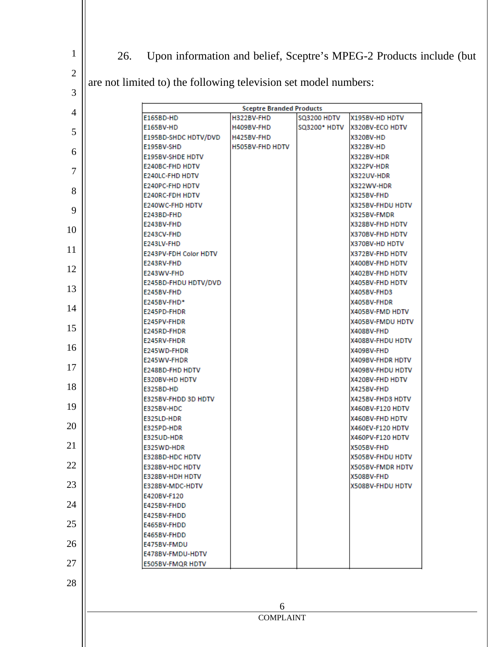26. Upon information and belief, Sceptre's MPEG-2 Products include (but

are not limited to) the following television set model numbers:

| 3              |                                           |                                 |                    |                                      |
|----------------|-------------------------------------------|---------------------------------|--------------------|--------------------------------------|
| $\overline{4}$ |                                           | <b>Sceptre Branded Products</b> |                    |                                      |
|                | E165BD-HD                                 | H322BV-FHD                      | <b>SQ3200 HDTV</b> | X195BV-HD HDTV                       |
| 5              | <b>E165BV-HD</b>                          | H409BV-FHD                      | SQ3200* HDTV       | X320BV-ECO HDTV                      |
|                | E195BD-SHDC HDTV/DVD                      | H425BV-FHD                      |                    | X320BV-HD                            |
| 6              | E195BV-SHD                                | <b>H505BV-FHD HDTV</b>          |                    | X322BV-HD                            |
|                | E195BV-SHDE HDTV                          |                                 |                    | X322BV-HDR                           |
| 7              | E240BC-FHD HDTV<br><b>E240LC-FHD HDTV</b> |                                 |                    | X322PV-HDR                           |
|                | E240PC-FHD HDTV                           |                                 |                    | <b>X322UV-HDR</b><br>X322WV-HDR      |
| 8              | <b>E240RC-FDH HDTV</b>                    |                                 |                    | X325BV-FHD                           |
|                | <b>E240WC-FHD HDTV</b>                    |                                 |                    | X325BV-FHDU HDTV                     |
| 9              | E243BD-FHD                                |                                 |                    | X325BV-FMDR                          |
|                | E243BV-FHD                                |                                 |                    | X328BV-FHD HDTV                      |
| 10             | E243CV-FHD                                |                                 |                    | X370BV-FHD HDTV                      |
|                | E243LV-FHD                                |                                 |                    | X370BV-HD HDTV                       |
| 11             | <b>E243PV-FDH Color HDTV</b>              |                                 |                    | X372BV-FHD HDTV                      |
|                | E243RV-FHD                                |                                 |                    | X400BV-FHD HDTV                      |
| 12             | E243WV-FHD                                |                                 |                    | X402BV-FHD HDTV                      |
|                | E245BD-FHDU HDTV/DVD                      |                                 |                    | <b>X405BV-FHD HDTV</b>               |
| 13             | E245BV-FHD                                |                                 |                    | X405BV-FHD3                          |
| 14             | E245BV-FHD*                               |                                 |                    | X405BV-FHDR                          |
|                | E245PD-FHDR                               |                                 |                    | X405BV-FMD HDTV                      |
| 15             | E245PV-FHDR                               |                                 |                    | X405BV-FMDU HDTV                     |
|                | E245RD-FHDR<br>E245RV-FHDR                |                                 |                    | X408BV-FHD<br>X408BV-FHDU HDTV       |
| 16             | E245WD-FHDR                               |                                 |                    | X409BV-FHD                           |
|                | E245WV-FHDR                               |                                 |                    | <b>X409BV-FHDR HDTV</b>              |
| 17             | E248BD-FHD HDTV                           |                                 |                    | X409BV-FHDU HDTV                     |
|                | E320BV-HD HDTV                            |                                 |                    | X420BV-FHD HDTV                      |
| 18             | E325BD-HD                                 |                                 |                    | X425BV-FHD                           |
|                | E325BV-FHDD 3D HDTV                       |                                 |                    | X425BV-FHD3 HDTV                     |
| 19             | E325BV-HDC                                |                                 |                    | X460BV-F120 HDTV                     |
|                | E325LD-HDR                                |                                 |                    | X460BV-FHD HDTV                      |
| 20             | E325PD-HDR                                |                                 |                    | X460EV-F120 HDTV                     |
| 21             | E325UD-HDR                                |                                 |                    | X460PV-F120 HDTV                     |
|                | E325WD-HDR                                |                                 |                    | X505BV-FHD                           |
| 22             | E328BD-HDC HDTV<br>E328BV-HDC HDTV        |                                 |                    | X505BV-FHDU HDTV<br>X505BV-FMDR HDTV |
|                | E328BV-HDH HDTV                           |                                 |                    | X508BV-FHD                           |
| 23             | E328BV-MDC-HDTV                           |                                 |                    | X508BV-FHDU HDTV                     |
|                | E420BV-F120                               |                                 |                    |                                      |
| 24             | E425BV-FHDD                               |                                 |                    |                                      |
|                | E425BV-FHDD                               |                                 |                    |                                      |
| 25             | E465BV-FHDD                               |                                 |                    |                                      |
|                | E465BV-FHDD                               |                                 |                    |                                      |
| 26             | E475BV-FMDU                               |                                 |                    |                                      |
|                | E478BV-FMDU-HDTV                          |                                 |                    |                                      |
| 27             | E505BV-FMQR HDTV                          |                                 |                    |                                      |
| 28             |                                           |                                 |                    |                                      |
|                |                                           |                                 |                    |                                      |
|                |                                           |                                 |                    |                                      |
|                |                                           | 6                               |                    |                                      |
|                |                                           | <b>COMPLAINT</b>                |                    |                                      |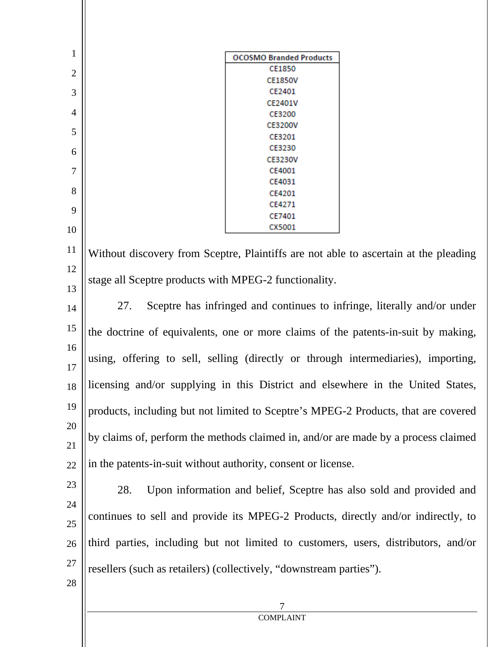| $\mathbf{1}$   | <b>OCOSMO Branded Products</b>                                                       |  |
|----------------|--------------------------------------------------------------------------------------|--|
| $\overline{2}$ | CE1850                                                                               |  |
|                | <b>CE1850V</b>                                                                       |  |
| 3              | CE2401<br>CE2401V                                                                    |  |
| 4              | CE3200                                                                               |  |
|                | <b>CE3200V</b>                                                                       |  |
| 5              | CE3201                                                                               |  |
| 6              | CE3230                                                                               |  |
|                | <b>CE3230V</b>                                                                       |  |
| $\overline{7}$ | CE4001<br>CE4031                                                                     |  |
| 8              | CE4201                                                                               |  |
|                | CE4271                                                                               |  |
| 9              | CE7401                                                                               |  |
| 10             | CX5001                                                                               |  |
|                |                                                                                      |  |
| 11             | Without discovery from Sceptre, Plaintiffs are not able to ascertain at the pleading |  |
| 12             |                                                                                      |  |
|                | stage all Sceptre products with MPEG-2 functionality.                                |  |
| 13             |                                                                                      |  |
| 14             | Sceptre has infringed and continues to infringe, literally and/or under<br>27.       |  |
| 15             |                                                                                      |  |
|                | the doctrine of equivalents, one or more claims of the patents-in-suit by making,    |  |
| 16             |                                                                                      |  |
| 17             | using, offering to sell, selling (directly or through intermediaries), importing,    |  |
|                |                                                                                      |  |
| 18             | licensing and/or supplying in this District and elsewhere in the United States,      |  |
| 19             |                                                                                      |  |
|                | products, including but not limited to Sceptre's MPEG-2 Products, that are covered   |  |
| 20             |                                                                                      |  |
| 21             | by claims of, perform the methods claimed in, and/or are made by a process claimed   |  |
|                | in the patents-in-suit without authority, consent or license.                        |  |
| 22             |                                                                                      |  |
| 23             | Upon information and belief, Sceptre has also sold and provided and<br>28.           |  |
|                |                                                                                      |  |
| 24             | continues to sell and provide its MPEG-2 Products, directly and/or indirectly, to    |  |
| 25             |                                                                                      |  |
| 26             | third parties, including but not limited to customers, users, distributors, and/or   |  |
|                |                                                                                      |  |
| 27             | resellers (such as retailers) (collectively, "downstream parties").                  |  |
| $28\,$         |                                                                                      |  |
|                |                                                                                      |  |
|                | 7                                                                                    |  |
|                | <b>COMPLAINT</b>                                                                     |  |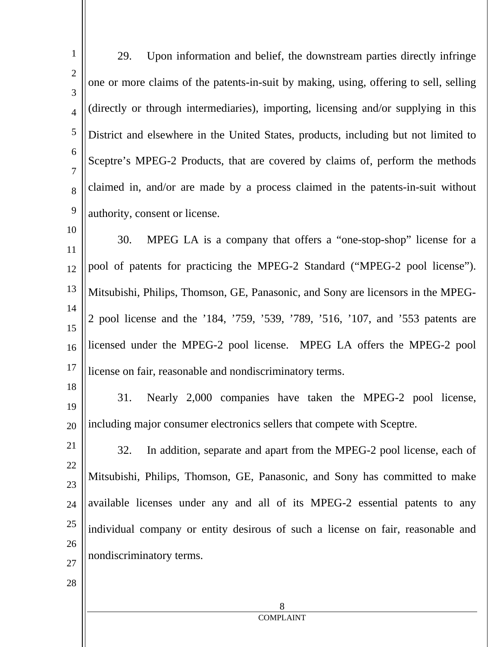| $\mathbf{1}$        | Upon information and belief, the downstream parties directly infringe<br>29.          |
|---------------------|---------------------------------------------------------------------------------------|
| $\overline{2}$<br>3 | one or more claims of the patents-in-suit by making, using, offering to sell, selling |
| $\overline{4}$      | (directly or through intermediaries), importing, licensing and/or supplying in this   |
| 5                   | District and elsewhere in the United States, products, including but not limited to   |
| 6<br>7              | Sceptre's MPEG-2 Products, that are covered by claims of, perform the methods         |
| 8                   | claimed in, and/or are made by a process claimed in the patents-in-suit without       |
| 9                   | authority, consent or license.                                                        |
| 10<br>11            | MPEG LA is a company that offers a "one-stop-shop" license for a<br>30.               |
| 12                  | pool of patents for practicing the MPEG-2 Standard ("MPEG-2 pool license").           |
| 13                  | Mitsubishi, Philips, Thomson, GE, Panasonic, and Sony are licensors in the MPEG-      |
| 14<br>15            | 2 pool license and the '184, '759, '539, '789, '516, '107, and '553 patents are       |
| 16                  | licensed under the MPEG-2 pool license. MPEG LA offers the MPEG-2 pool                |
| 17                  | license on fair, reasonable and nondiscriminatory terms.                              |
| 18<br>19            | Nearly 2,000 companies have taken the MPEG-2 pool license,<br>31.                     |
| 20                  | including major consumer electronics sellers that compete with Sceptre.               |
| 21                  | In addition, separate and apart from the MPEG-2 pool license, each of<br>32.          |
| 22<br>23            | Mitsubishi, Philips, Thomson, GE, Panasonic, and Sony has committed to make           |
| 24                  | available licenses under any and all of its MPEG-2 essential patents to any           |
| 25                  | individual company or entity desirous of such a license on fair, reasonable and       |
| 26<br>27            | nondiscriminatory terms.                                                              |
| 28                  |                                                                                       |
|                     | 8                                                                                     |
|                     | <b>COMPLAINT</b>                                                                      |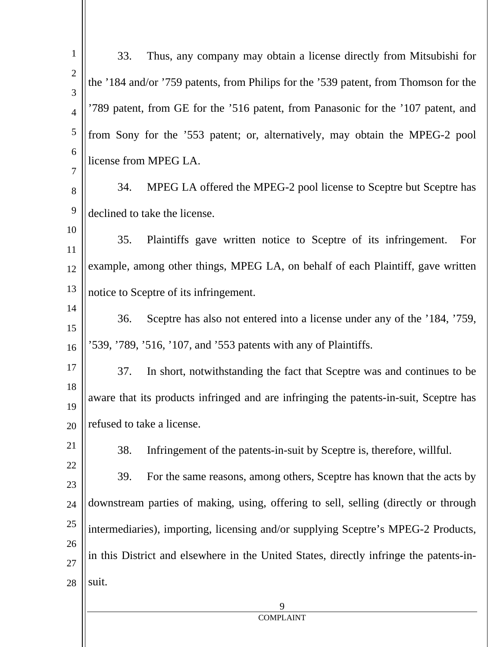| $\mathbf{1}$      | 33.   | Thus, any company may obtain a license directly from Mitsubishi for                    |
|-------------------|-------|----------------------------------------------------------------------------------------|
| $\mathbf{2}$<br>3 |       | the '184 and/or '759 patents, from Philips for the '539 patent, from Thomson for the   |
| $\overline{4}$    |       | 789 patent, from GE for the '516 patent, from Panasonic for the '107 patent, and       |
| 5                 |       | from Sony for the '553 patent; or, alternatively, may obtain the MPEG-2 pool           |
| 6                 |       | license from MPEG LA.                                                                  |
| 7<br>8            | 34.   | MPEG LA offered the MPEG-2 pool license to Sceptre but Sceptre has                     |
| 9                 |       | declined to take the license.                                                          |
| 10                |       |                                                                                        |
| 11                | 35.   | Plaintiffs gave written notice to Sceptre of its infringement.<br>For                  |
| 12                |       | example, among other things, MPEG LA, on behalf of each Plaintiff, gave written        |
| 13                |       | notice to Sceptre of its infringement.                                                 |
| 14                | 36.   | Sceptre has also not entered into a license under any of the '184, '759,               |
| 15<br>16          |       | '539, '789, '516, '107, and '553 patents with any of Plaintiffs.                       |
|                   |       |                                                                                        |
| 17                | 37.   | In short, notwithstanding the fact that Sceptre was and continues to be                |
| 18<br>19          |       | aware that its products infringed and are infringing the patents-in-suit, Sceptre has  |
| 20                |       | refused to take a license.                                                             |
| 21                | 38.   | Infringement of the patents-in-suit by Sceptre is, therefore, willful.                 |
| 22                | 39.   | For the same reasons, among others, Sceptre has known that the acts by                 |
| 23                |       |                                                                                        |
| 24                |       | downstream parties of making, using, offering to sell, selling (directly or through    |
| 25                |       | intermediaries), importing, licensing and/or supplying Sceptre's MPEG-2 Products,      |
| 26<br>27          |       | in this District and elsewhere in the United States, directly infringe the patents-in- |
| 28                | suit. |                                                                                        |
|                   |       | 9                                                                                      |
|                   |       | <b>COMPLAINT</b>                                                                       |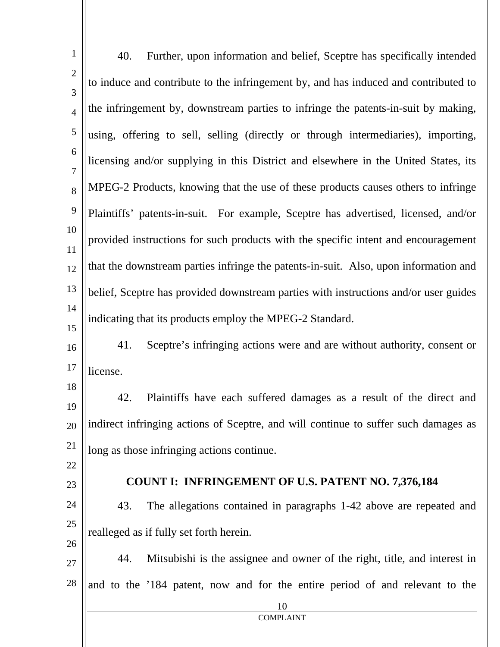| $\mathbf{1}$        | 40.<br>Further, upon information and belief, Sceptre has specifically intended       |
|---------------------|--------------------------------------------------------------------------------------|
| $\overline{2}$<br>3 | to induce and contribute to the infringement by, and has induced and contributed to  |
| $\overline{4}$      | the infringement by, downstream parties to infringe the patents-in-suit by making,   |
| 5                   | using, offering to sell, selling (directly or through intermediaries), importing,    |
| 6                   | licensing and/or supplying in this District and elsewhere in the United States, its  |
| $\overline{7}$      | MPEG-2 Products, knowing that the use of these products causes others to infringe    |
| 8                   |                                                                                      |
| 9                   | Plaintiffs' patents-in-suit. For example, Sceptre has advertised, licensed, and/or   |
| 10<br>11            | provided instructions for such products with the specific intent and encouragement   |
| 12                  | that the downstream parties infringe the patents-in-suit. Also, upon information and |
| 13                  | belief, Sceptre has provided downstream parties with instructions and/or user guides |
| 14<br>15            | indicating that its products employ the MPEG-2 Standard.                             |
| 16                  | Sceptre's infringing actions were and are without authority, consent or<br>41.       |
| 17                  | license.                                                                             |
| 18                  |                                                                                      |
| 19                  | 42.<br>Plaintiffs have each suffered damages as a result of the direct and           |
| 20                  | indirect infringing actions of Sceptre, and will continue to suffer such damages as  |
| 21                  | long as those infringing actions continue.                                           |
| 22                  |                                                                                      |
| 23                  | <b>COUNT I: INFRINGEMENT OF U.S. PATENT NO. 7,376,184</b>                            |
| 24                  | The allegations contained in paragraphs 1-42 above are repeated and<br>43.           |
| 25                  | realleged as if fully set forth herein.                                              |
| 26                  | Mitsubishi is the assignee and owner of the right, title, and interest in<br>44.     |
| 27                  |                                                                                      |
| 28                  | and to the '184 patent, now and for the entire period of and relevant to the         |
|                     | 10<br><b>COMPLAINT</b>                                                               |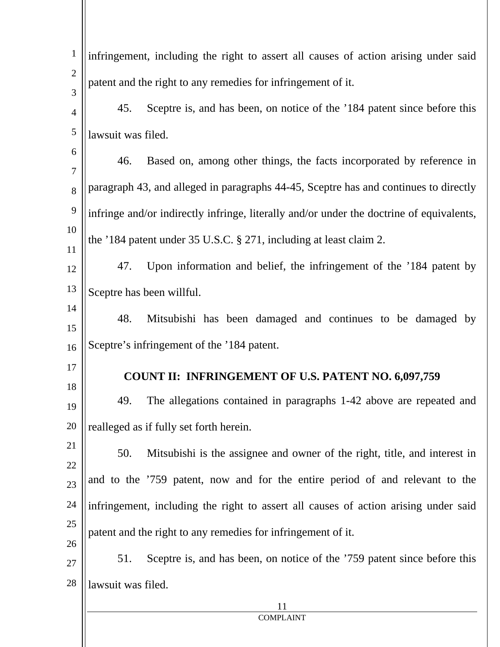| $\mathbf{1}$      |                    | infringement, including the right to assert all causes of action arising under said      |
|-------------------|--------------------|------------------------------------------------------------------------------------------|
| $\mathbf{2}$<br>3 |                    | patent and the right to any remedies for infringement of it.                             |
| $\overline{4}$    | 45.                | Sceptre is, and has been, on notice of the '184 patent since before this                 |
| $\sqrt{5}$        | lawsuit was filed. |                                                                                          |
| 6<br>$\tau$       | 46.                | Based on, among other things, the facts incorporated by reference in                     |
| 8                 |                    | paragraph 43, and alleged in paragraphs 44-45, Sceptre has and continues to directly     |
| 9                 |                    | infringe and/or indirectly infringe, literally and/or under the doctrine of equivalents, |
| 10<br>11          |                    | the '184 patent under 35 U.S.C. § 271, including at least claim 2.                       |
| 12                | 47.                | Upon information and belief, the infringement of the '184 patent by                      |
| 13                |                    | Sceptre has been willful.                                                                |
| 14<br>15          | 48.                | Mitsubishi has been damaged and continues to be damaged by                               |
| 16                |                    | Sceptre's infringement of the '184 patent.                                               |
| 17<br>18          |                    | <b>COUNT II: INFRINGEMENT OF U.S. PATENT NO. 6,097,759</b>                               |
| 19                | 49.                | The allegations contained in paragraphs 1-42 above are repeated and                      |
| 20                |                    | realleged as if fully set forth herein.                                                  |
| 21<br>22          | 50.                | Mitsubishi is the assignee and owner of the right, title, and interest in                |
| 23                |                    | and to the '759 patent, now and for the entire period of and relevant to the             |
| 24                |                    | infringement, including the right to assert all causes of action arising under said      |
| 25<br>26          |                    | patent and the right to any remedies for infringement of it.                             |
| 27                | 51.                | Sceptre is, and has been, on notice of the '759 patent since before this                 |
| 28                | lawsuit was filed. |                                                                                          |
|                   |                    | 11<br><b>COMPLAINT</b>                                                                   |
|                   |                    |                                                                                          |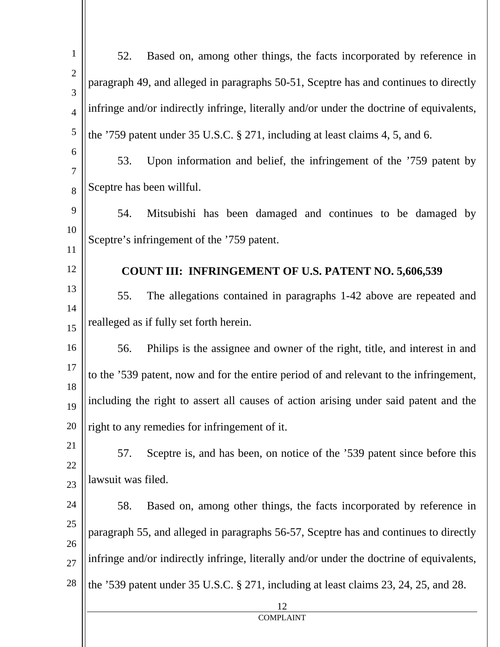| $\mathbf{1}$        | Based on, among other things, the facts incorporated by reference in<br>52.              |
|---------------------|------------------------------------------------------------------------------------------|
| $\overline{2}$<br>3 | paragraph 49, and alleged in paragraphs 50-51, Sceptre has and continues to directly     |
| $\overline{4}$      | infringe and/or indirectly infringe, literally and/or under the doctrine of equivalents, |
| 5                   | the '759 patent under 35 U.S.C. § 271, including at least claims 4, 5, and 6.            |
| 6<br>$\tau$         | Upon information and belief, the infringement of the '759 patent by<br>53.               |
| 8                   | Sceptre has been willful.                                                                |
| 9                   | Mitsubishi has been damaged and continues to be damaged by<br>54.                        |
| 10<br>11            | Sceptre's infringement of the '759 patent.                                               |
| 12                  | <b>COUNT III: INFRINGEMENT OF U.S. PATENT NO. 5,606,539</b>                              |
| 13                  | 55.<br>The allegations contained in paragraphs 1-42 above are repeated and               |
| 14<br>15            | realleged as if fully set forth herein.                                                  |
| 16                  | Philips is the assignee and owner of the right, title, and interest in and<br>56.        |
| 17<br>18            | to the '539 patent, now and for the entire period of and relevant to the infringement,   |
| 19                  | including the right to assert all causes of action arising under said patent and the     |
| 20                  | right to any remedies for infringement of it.                                            |
| 21<br>22            | Sceptre is, and has been, on notice of the '539 patent since before this<br>57.          |
| 23                  | lawsuit was filed.                                                                       |
| 24                  | Based on, among other things, the facts incorporated by reference in<br>58.              |
| 25<br>26            | paragraph 55, and alleged in paragraphs 56-57, Sceptre has and continues to directly     |
| 27                  | infringe and/or indirectly infringe, literally and/or under the doctrine of equivalents, |
| 28                  | the '539 patent under 35 U.S.C. $\S 271$ , including at least claims 23, 24, 25, and 28. |
|                     | 12<br><b>COMPLAINT</b>                                                                   |
|                     |                                                                                          |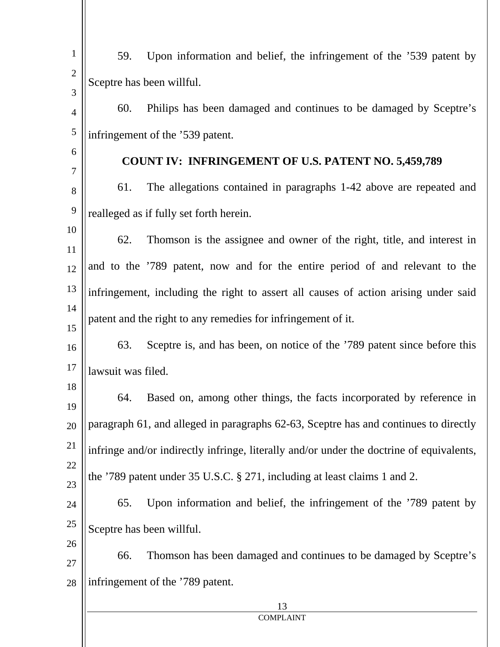| $\mathbf{1}$   |                                                                               |                                                                                          |  |
|----------------|-------------------------------------------------------------------------------|------------------------------------------------------------------------------------------|--|
| $\sqrt{2}$     | 59.                                                                           | Upon information and belief, the infringement of the '539 patent by                      |  |
| 3              | Sceptre has been willful.                                                     |                                                                                          |  |
| $\overline{4}$ | 60.                                                                           | Philips has been damaged and continues to be damaged by Sceptre's                        |  |
| $\mathfrak s$  | infringement of the '539 patent.                                              |                                                                                          |  |
| 6              | <b>COUNT IV: INFRINGEMENT OF U.S. PATENT NO. 5,459,789</b>                    |                                                                                          |  |
| $\tau$         |                                                                               |                                                                                          |  |
| $8\,$          | 61.                                                                           | The allegations contained in paragraphs 1-42 above are repeated and                      |  |
| 9              |                                                                               | realleged as if fully set forth herein.                                                  |  |
| 10             | Thomson is the assignee and owner of the right, title, and interest in<br>62. |                                                                                          |  |
| 11             |                                                                               |                                                                                          |  |
| 12             |                                                                               | and to the '789 patent, now and for the entire period of and relevant to the             |  |
| 13             |                                                                               | infringement, including the right to assert all causes of action arising under said      |  |
| 14<br>15       | patent and the right to any remedies for infringement of it.                  |                                                                                          |  |
| 16             | 63.                                                                           | Sceptre is, and has been, on notice of the '789 patent since before this                 |  |
| 17             | lawsuit was filed.                                                            |                                                                                          |  |
| 18             |                                                                               |                                                                                          |  |
| 19             | 64.                                                                           | Based on, among other things, the facts incorporated by reference in                     |  |
| 20             |                                                                               | paragraph 61, and alleged in paragraphs 62-63, Sceptre has and continues to directly     |  |
| 21             |                                                                               | infringe and/or indirectly infringe, literally and/or under the doctrine of equivalents, |  |
| 22<br>23       | the '789 patent under 35 U.S.C. § 271, including at least claims 1 and 2.     |                                                                                          |  |
| 24             | 65.                                                                           | Upon information and belief, the infringement of the '789 patent by                      |  |
| 25             |                                                                               | Sceptre has been willful.                                                                |  |
| 26<br>27       | 66.                                                                           | Thomson has been damaged and continues to be damaged by Sceptre's                        |  |
| 28             |                                                                               | infringement of the '789 patent.                                                         |  |
|                | 13                                                                            |                                                                                          |  |
|                |                                                                               | <b>COMPLAINT</b>                                                                         |  |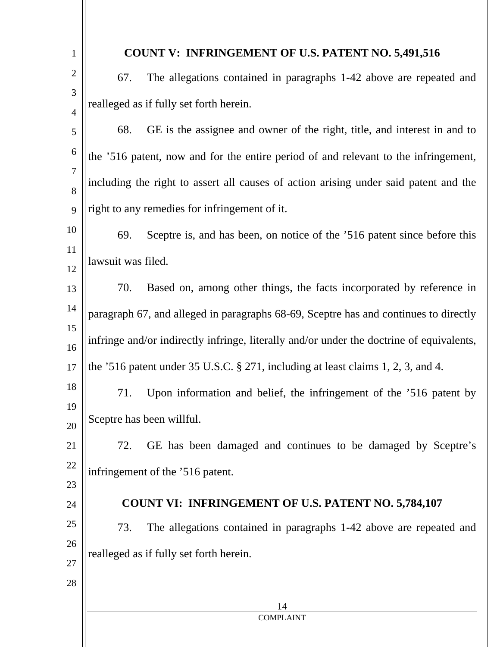| $\mathbf{1}$        |                                                                                          | <b>COUNT V: INFRINGEMENT OF U.S. PATENT NO. 5,491,516</b>                            |
|---------------------|------------------------------------------------------------------------------------------|--------------------------------------------------------------------------------------|
| $\overline{2}$      | 67.                                                                                      | The allegations contained in paragraphs 1-42 above are repeated and                  |
| 3<br>$\overline{4}$ | realleged as if fully set forth herein.                                                  |                                                                                      |
| 5                   | 68.                                                                                      | GE is the assignee and owner of the right, title, and interest in and to             |
| 6                   | the '516 patent, now and for the entire period of and relevant to the infringement,      |                                                                                      |
| 7<br>8              | including the right to assert all causes of action arising under said patent and the     |                                                                                      |
| 9                   | right to any remedies for infringement of it.                                            |                                                                                      |
| 10                  | 69.                                                                                      | Sceptre is, and has been, on notice of the '516 patent since before this             |
| 11<br>12            | lawsuit was filed.                                                                       |                                                                                      |
| 13                  | 70.                                                                                      | Based on, among other things, the facts incorporated by reference in                 |
| 14                  | paragraph 67, and alleged in paragraphs 68-69, Sceptre has and continues to directly     |                                                                                      |
| 15<br>16            | infringe and/or indirectly infringe, literally and/or under the doctrine of equivalents, |                                                                                      |
| 17                  |                                                                                          | the '516 patent under 35 U.S.C. $\S 271$ , including at least claims 1, 2, 3, and 4. |
| 18<br>19            | 71.                                                                                      | Upon information and belief, the infringement of the '516 patent by                  |
| 20                  | Sceptre has been willful.                                                                |                                                                                      |
| 21                  | 72.                                                                                      | GE has been damaged and continues to be damaged by Sceptre's                         |
| 22                  | infringement of the '516 patent.                                                         |                                                                                      |
| 23                  | <b>COUNT VI: INFRINGEMENT OF U.S. PATENT NO. 5,784,107</b>                               |                                                                                      |
| 24<br>25            |                                                                                          |                                                                                      |
| 26                  | 73.                                                                                      | The allegations contained in paragraphs 1-42 above are repeated and                  |
| 27                  | realleged as if fully set forth herein.                                                  |                                                                                      |
| 28                  |                                                                                          |                                                                                      |
|                     |                                                                                          | 14<br><b>COMPLAINT</b>                                                               |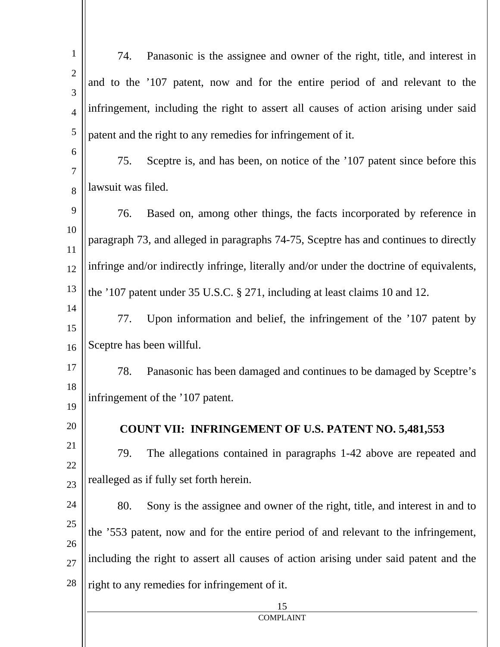| $\mathbf{1}$      | Panasonic is the assignee and owner of the right, title, and interest in<br>74.          |  |  |
|-------------------|------------------------------------------------------------------------------------------|--|--|
| $\mathbf{2}$<br>3 | and to the '107 patent, now and for the entire period of and relevant to the             |  |  |
| $\overline{4}$    | infringement, including the right to assert all causes of action arising under said      |  |  |
| $\sqrt{5}$        | patent and the right to any remedies for infringement of it.                             |  |  |
| 6<br>$\tau$       | 75.<br>Sceptre is, and has been, on notice of the '107 patent since before this          |  |  |
| 8                 | lawsuit was filed.                                                                       |  |  |
| 9                 | 76.<br>Based on, among other things, the facts incorporated by reference in              |  |  |
| 10<br>11          | paragraph 73, and alleged in paragraphs 74-75, Sceptre has and continues to directly     |  |  |
| 12                | infringe and/or indirectly infringe, literally and/or under the doctrine of equivalents, |  |  |
| 13                | the '107 patent under 35 U.S.C. § 271, including at least claims 10 and 12.              |  |  |
| 14<br>15          | Upon information and belief, the infringement of the '107 patent by<br>77.               |  |  |
| 16                | Sceptre has been willful.                                                                |  |  |
| 17                | 78.<br>Panasonic has been damaged and continues to be damaged by Sceptre's               |  |  |
| 18<br>19          | infringement of the '107 patent.                                                         |  |  |
| 20                | <b>COUNT VII: INFRINGEMENT OF U.S. PATENT NO. 5,481,553</b>                              |  |  |
| 21<br>22          | The allegations contained in paragraphs 1-42 above are repeated and<br>79.               |  |  |
| 23                | realleged as if fully set forth herein.                                                  |  |  |
| 24                | Sony is the assignee and owner of the right, title, and interest in and to<br>80.        |  |  |
| 25<br>26          | the '553 patent, now and for the entire period of and relevant to the infringement,      |  |  |
| 27                | including the right to assert all causes of action arising under said patent and the     |  |  |
| 28                | right to any remedies for infringement of it.                                            |  |  |
|                   | 15<br><b>COMPLAINT</b>                                                                   |  |  |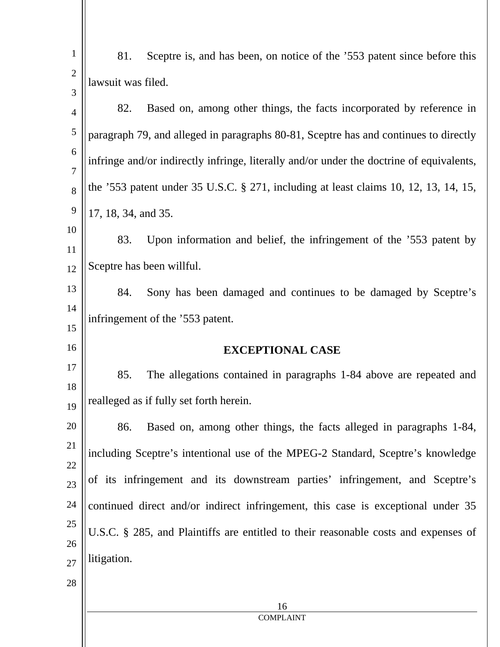| $\mathbf{1}$   | 81.                                                                                      | Sceptre is, and has been, on notice of the '553 patent since before this |  |
|----------------|------------------------------------------------------------------------------------------|--------------------------------------------------------------------------|--|
| $\overline{2}$ | lawsuit was filed.                                                                       |                                                                          |  |
| 3              | 82.                                                                                      | Based on, among other things, the facts incorporated by reference in     |  |
| $\overline{4}$ |                                                                                          |                                                                          |  |
| 5<br>6         | paragraph 79, and alleged in paragraphs 80-81, Sceptre has and continues to directly     |                                                                          |  |
| 7              | infringe and/or indirectly infringe, literally and/or under the doctrine of equivalents, |                                                                          |  |
| 8              | the '553 patent under 35 U.S.C. § 271, including at least claims 10, 12, 13, 14, 15,     |                                                                          |  |
| 9              | 17, 18, 34, and 35.                                                                      |                                                                          |  |
| 10<br>11       | 83.                                                                                      | Upon information and belief, the infringement of the '553 patent by      |  |
| 12             | Sceptre has been willful.                                                                |                                                                          |  |
| 13             | 84.                                                                                      | Sony has been damaged and continues to be damaged by Sceptre's           |  |
| 14<br>15       | infringement of the '553 patent.                                                         |                                                                          |  |
| 16             | <b>EXCEPTIONAL CASE</b>                                                                  |                                                                          |  |
| 17             | 85.                                                                                      | The allegations contained in paragraphs 1-84 above are repeated and      |  |
| 18<br>19       | realleged as if fully set forth herein.                                                  |                                                                          |  |
| 20             | 86.                                                                                      | Based on, among other things, the facts alleged in paragraphs 1-84,      |  |
| 21<br>22       | including Sceptre's intentional use of the MPEG-2 Standard, Sceptre's knowledge          |                                                                          |  |
| 23             | of its infringement and its downstream parties' infringement, and Sceptre's              |                                                                          |  |
| 24             | continued direct and/or indirect infringement, this case is exceptional under 35         |                                                                          |  |
| 25             | U.S.C. § 285, and Plaintiffs are entitled to their reasonable costs and expenses of      |                                                                          |  |
| 26             |                                                                                          |                                                                          |  |
| 27             | litigation.                                                                              |                                                                          |  |
| 28             |                                                                                          |                                                                          |  |
|                |                                                                                          | 16                                                                       |  |
|                | <b>COMPLAINT</b>                                                                         |                                                                          |  |
|                |                                                                                          |                                                                          |  |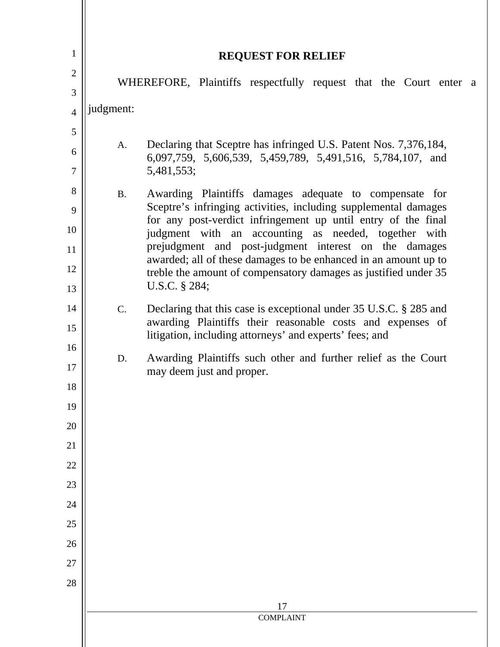| $\mathbf{1}$   |                                                                                                                                                                                                                                                   |                                                                                                                                    |  |  |
|----------------|---------------------------------------------------------------------------------------------------------------------------------------------------------------------------------------------------------------------------------------------------|------------------------------------------------------------------------------------------------------------------------------------|--|--|
| $\mathfrak{2}$ |                                                                                                                                                                                                                                                   | <b>REQUEST FOR RELIEF</b>                                                                                                          |  |  |
| 3              |                                                                                                                                                                                                                                                   | WHEREFORE, Plaintiffs respectfully request that the Court enter a                                                                  |  |  |
| $\overline{4}$ | judgment:                                                                                                                                                                                                                                         |                                                                                                                                    |  |  |
| 5              |                                                                                                                                                                                                                                                   |                                                                                                                                    |  |  |
| 6              | А.                                                                                                                                                                                                                                                | Declaring that Sceptre has infringed U.S. Patent Nos. 7,376,184,<br>6,097,759, 5,606,539, 5,459,789, 5,491,516, 5,784,107, and     |  |  |
| $\overline{7}$ |                                                                                                                                                                                                                                                   | 5,481,553;                                                                                                                         |  |  |
| 8              | <b>B.</b>                                                                                                                                                                                                                                         | Awarding Plaintiffs damages adequate to compensate for                                                                             |  |  |
| 9              | Sceptre's infringing activities, including supplemental damages<br>for any post-verdict infringement up until entry of the final<br>judgment with an accounting as needed, together with<br>prejudgment and post-judgment interest on the damages |                                                                                                                                    |  |  |
| 10<br>11       |                                                                                                                                                                                                                                                   |                                                                                                                                    |  |  |
| 12             |                                                                                                                                                                                                                                                   | awarded; all of these damages to be enhanced in an amount up to<br>treble the amount of compensatory damages as justified under 35 |  |  |
| 13             |                                                                                                                                                                                                                                                   | U.S.C. § 284;                                                                                                                      |  |  |
| 14             | C.                                                                                                                                                                                                                                                | Declaring that this case is exceptional under 35 U.S.C. § 285 and                                                                  |  |  |
| 15             | awarding Plaintiffs their reasonable costs and expenses of<br>litigation, including attorneys' and experts' fees; and<br>Awarding Plaintiffs such other and further relief as the Court<br>D.<br>may deem just and proper.                        |                                                                                                                                    |  |  |
| 16<br>17       |                                                                                                                                                                                                                                                   |                                                                                                                                    |  |  |
| 18             |                                                                                                                                                                                                                                                   |                                                                                                                                    |  |  |
| 19             |                                                                                                                                                                                                                                                   |                                                                                                                                    |  |  |
| 20             |                                                                                                                                                                                                                                                   |                                                                                                                                    |  |  |
| 21             |                                                                                                                                                                                                                                                   |                                                                                                                                    |  |  |
| 22             |                                                                                                                                                                                                                                                   |                                                                                                                                    |  |  |
| 23             |                                                                                                                                                                                                                                                   |                                                                                                                                    |  |  |
| 24<br>25       |                                                                                                                                                                                                                                                   |                                                                                                                                    |  |  |
| 26             |                                                                                                                                                                                                                                                   |                                                                                                                                    |  |  |
| 27             |                                                                                                                                                                                                                                                   |                                                                                                                                    |  |  |
| 28             |                                                                                                                                                                                                                                                   |                                                                                                                                    |  |  |
|                | 17                                                                                                                                                                                                                                                |                                                                                                                                    |  |  |